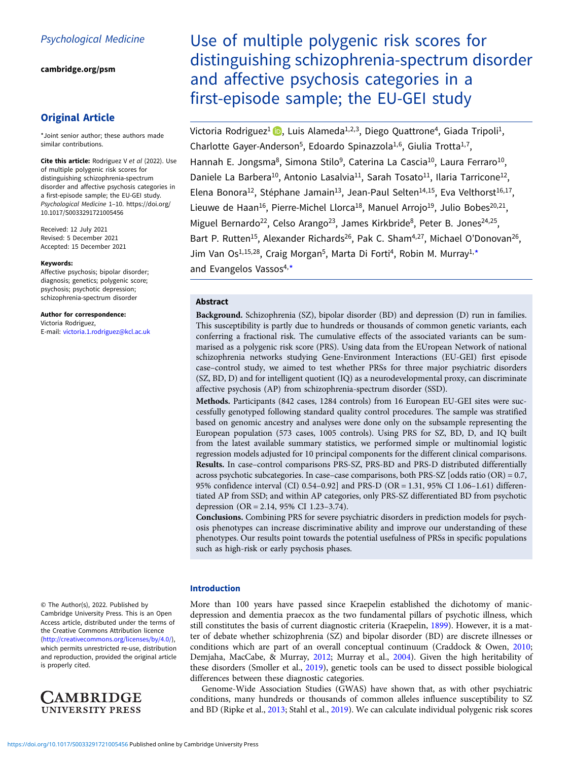[cambridge.org/psm](https://www.cambridge.org/psm)

# Original Article

\*Joint senior author; these authors made similar contributions.

Cite this article: Rodriguez V et al (2022). Use of multiple polygenic risk scores for distinguishing schizophrenia-spectrum disorder and affective psychosis categories in a first-episode sample; the EU-GEI study. Psychological Medicine 1–10. [https://doi.org/](https://doi.org/10.1017/S0033291721005456) [10.1017/S0033291721005456](https://doi.org/10.1017/S0033291721005456)

Received: 12 July 2021 Revised: 5 December 2021 Accepted: 15 December 2021

#### Keywords:

Affective psychosis; bipolar disorder; diagnosis; genetics; polygenic score; psychosis; psychotic depression; schizophrenia-spectrum disorder

Author for correspondence: Victoria Rodriguez, E-mail: [victoria.1.rodriguez@kcl.ac.uk](mailto:victoria.1.rodriguez@kcl.ac.uk)

© The Author(s), 2022. Published by Cambridge University Press. This is an Open Access article, distributed under the terms of the Creative Commons Attribution licence ([http://creativecommons.org/licenses/by/4.0/\)](http://creativecommons.org/licenses/by/4.0/), which permits unrestricted re-use, distribution and reproduction, provided the original article is properly cited.



Use of multiple polygenic risk scores for distinguishing schizophrenia-spectrum disorder and affective psychosis categories in a first-episode sample; the EU-GEI study

Victoria Rodriguez<sup>1</sup> **D**, Luis Alameda<sup>1,2,3</sup>, Diego Quattrone<sup>4</sup>, Giada Tripoli<sup>1</sup>, Charlotte Gayer-Anderson<sup>5</sup>, Edoardo Spinazzola<sup>1,6</sup>, Giulia Trotta<sup>1,7</sup>, Hannah E. Jongsma<sup>8</sup>, Simona Stilo<sup>9</sup>, Caterina La Cascia<sup>10</sup>, Laura Ferraro<sup>10</sup>, Daniele La Barbera<sup>10</sup>, Antonio Lasalvia<sup>11</sup>, Sarah Tosato<sup>11</sup>, Ilaria Tarricone<sup>12</sup>, Elena Bonora<sup>12</sup>, Stéphane Jamain<sup>13</sup>, Jean-Paul Selten<sup>14,15</sup>, Eva Velthorst<sup>16,17</sup>, Lieuwe de Haan<sup>16</sup>, Pierre-Michel Llorca<sup>18</sup>, Manuel Arrojo<sup>19</sup>, Julio Bobes<sup>20,21</sup>, Miguel Bernardo<sup>22</sup>, Celso Arango<sup>23</sup>, James Kirkbride<sup>8</sup>, Peter B. Jones<sup>24,25</sup>, Bart P. Rutten<sup>15</sup>, Alexander Richards<sup>26</sup>, Pak C. Sham<sup>4,27</sup>, Michael O'Donovan<sup>26</sup>, Jim Van Os<sup>1,15,28</sup>, Craig Morgan<sup>5</sup>, Marta Di Forti<sup>4</sup>, Robin M. Murray<sup>1,\*</sup>

and Evangelos Vassos<sup>4,\*</sup>

# Abstract

Background. Schizophrenia (SZ), bipolar disorder (BD) and depression (D) run in families. This susceptibility is partly due to hundreds or thousands of common genetic variants, each conferring a fractional risk. The cumulative effects of the associated variants can be summarised as a polygenic risk score (PRS). Using data from the EUropean Network of national schizophrenia networks studying Gene-Environment Interactions (EU-GEI) first episode case–control study, we aimed to test whether PRSs for three major psychiatric disorders (SZ, BD, D) and for intelligent quotient (IQ) as a neurodevelopmental proxy, can discriminate affective psychosis (AP) from schizophrenia-spectrum disorder (SSD).

Methods. Participants (842 cases, 1284 controls) from 16 European EU-GEI sites were successfully genotyped following standard quality control procedures. The sample was stratified based on genomic ancestry and analyses were done only on the subsample representing the European population (573 cases, 1005 controls). Using PRS for SZ, BD, D, and IQ built from the latest available summary statistics, we performed simple or multinomial logistic regression models adjusted for 10 principal components for the different clinical comparisons. Results. In case–control comparisons PRS-SZ, PRS-BD and PRS-D distributed differentially across psychotic subcategories. In case–case comparisons, both PRS-SZ [odds ratio (OR) = 0.7, 95% confidence interval (CI) 0.54–0.92] and PRS-D (OR = 1.31, 95% CI 1.06–1.61) differentiated AP from SSD; and within AP categories, only PRS-SZ differentiated BD from psychotic depression (OR = 2.14, 95% CI 1.23–3.74).

Conclusions. Combining PRS for severe psychiatric disorders in prediction models for psychosis phenotypes can increase discriminative ability and improve our understanding of these phenotypes. Our results point towards the potential usefulness of PRSs in specific populations such as high-risk or early psychosis phases.

## Introduction

More than 100 years have passed since Kraepelin established the dichotomy of manicdepression and dementia praecox as the two fundamental pillars of psychotic illness, which still constitutes the basis of current diagnostic criteria (Kraepelin, [1899\)](#page-8-0). However, it is a matter of debate whether schizophrenia (SZ) and bipolar disorder (BD) are discrete illnesses or conditions which are part of an overall conceptual continuum (Craddock & Owen, [2010](#page-8-0); Demjaha, MacCabe, & Murray, [2012](#page-8-0); Murray et al., [2004\)](#page-8-0). Given the high heritability of these disorders (Smoller et al., [2019](#page-8-0)), genetic tools can be used to dissect possible biological differences between these diagnostic categories.

Genome-Wide Association Studies (GWAS) have shown that, as with other psychiatric conditions, many hundreds or thousands of common alleles influence susceptibility to SZ and BD (Ripke et al., [2013;](#page-8-0) Stahl et al., [2019\)](#page-8-0). We can calculate individual polygenic risk scores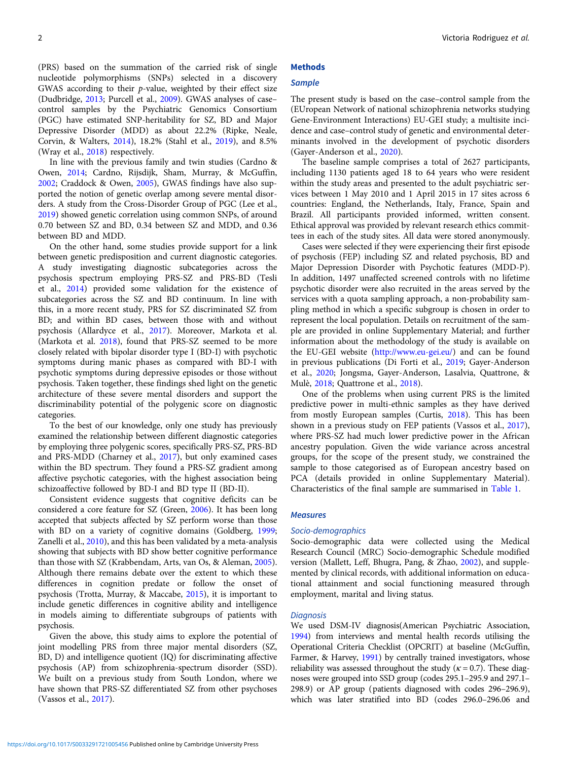(PRS) based on the summation of the carried risk of single nucleotide polymorphisms (SNPs) selected in a discovery GWAS according to their *p*-value, weighted by their effect size (Dudbridge, [2013](#page-8-0); Purcell et al., [2009](#page-8-0)). GWAS analyses of case– control samples by the Psychiatric Genomics Consortium (PGC) have estimated SNP-heritability for SZ, BD and Major Depressive Disorder (MDD) as about 22.2% (Ripke, Neale, Corvin, & Walters, [2014\)](#page-8-0), 18.2% (Stahl et al., [2019](#page-8-0)), and 8.5% (Wray et al., [2018\)](#page-9-0) respectively.

In line with the previous family and twin studies (Cardno & Owen, [2014;](#page-8-0) Cardno, Rijsdijk, Sham, Murray, & McGuffin, [2002;](#page-8-0) Craddock & Owen, [2005](#page-8-0)), GWAS findings have also supported the notion of genetic overlap among severe mental disorders. A study from the Cross-Disorder Group of PGC (Lee et al., [2019\)](#page-8-0) showed genetic correlation using common SNPs, of around 0.70 between SZ and BD, 0.34 between SZ and MDD, and 0.36 between BD and MDD.

On the other hand, some studies provide support for a link between genetic predisposition and current diagnostic categories. A study investigating diagnostic subcategories across the psychosis spectrum employing PRS-SZ and PRS-BD (Tesli et al., [2014\)](#page-8-0) provided some validation for the existence of subcategories across the SZ and BD continuum. In line with this, in a more recent study, PRS for SZ discriminated SZ from BD; and within BD cases, between those with and without psychosis (Allardyce et al., [2017](#page-7-0)). Moreover, Markota et al. (Markota et al. [2018](#page-8-0)), found that PRS-SZ seemed to be more closely related with bipolar disorder type I (BD-I) with psychotic symptoms during manic phases as compared with BD-I with psychotic symptoms during depressive episodes or those without psychosis. Taken together, these findings shed light on the genetic architecture of these severe mental disorders and support the discriminability potential of the polygenic score on diagnostic categories.

To the best of our knowledge, only one study has previously examined the relationship between different diagnostic categories by employing three polygenic scores, specifically PRS-SZ, PRS-BD and PRS-MDD (Charney et al., [2017](#page-8-0)), but only examined cases within the BD spectrum. They found a PRS-SZ gradient among affective psychotic categories, with the highest association being schizoaffective followed by BD-I and BD type II (BD-II).

Consistent evidence suggests that cognitive deficits can be considered a core feature for SZ (Green, [2006](#page-8-0)). It has been long accepted that subjects affected by SZ perform worse than those with BD on a variety of cognitive domains (Goldberg, [1999](#page-8-0); Zanelli et al., [2010](#page-9-0)), and this has been validated by a meta-analysis showing that subjects with BD show better cognitive performance than those with SZ (Krabbendam, Arts, van Os, & Aleman, [2005\)](#page-8-0). Although there remains debate over the extent to which these differences in cognition predate or follow the onset of psychosis (Trotta, Murray, & Maccabe, [2015](#page-9-0)), it is important to include genetic differences in cognitive ability and intelligence in models aiming to differentiate subgroups of patients with psychosis.

Given the above, this study aims to explore the potential of joint modelling PRS from three major mental disorders (SZ, BD, D) and intelligence quotient (IQ) for discriminating affective psychosis (AP) from schizophrenia-spectrum disorder (SSD). We built on a previous study from South London, where we have shown that PRS-SZ differentiated SZ from other psychoses (Vassos et al., [2017](#page-9-0)).

# **Methods**

# **Sample**

The present study is based on the case–control sample from the (EUropean Network of national schizophrenia networks studying Gene-Environment Interactions) EU-GEI study; a multisite incidence and case–control study of genetic and environmental determinants involved in the development of psychotic disorders (Gayer-Anderson et al., [2020\)](#page-8-0).

The baseline sample comprises a total of 2627 participants, including 1130 patients aged 18 to 64 years who were resident within the study areas and presented to the adult psychiatric services between 1 May 2010 and 1 April 2015 in 17 sites across 6 countries: England, the Netherlands, Italy, France, Spain and Brazil. All participants provided informed, written consent. Ethical approval was provided by relevant research ethics committees in each of the study sites. All data were stored anonymously.

Cases were selected if they were experiencing their first episode of psychosis (FEP) including SZ and related psychosis, BD and Major Depression Disorder with Psychotic features (MDD-P). In addition, 1497 unaffected screened controls with no lifetime psychotic disorder were also recruited in the areas served by the services with a quota sampling approach, a non-probability sampling method in which a specific subgroup is chosen in order to represent the local population. Details on recruitment of the sample are provided in online Supplementary Material; and further information about the methodology of the study is available on the EU-GEI website (<http://www.eu-gei.eu/>) and can be found in previous publications (Di Forti et al., [2019;](#page-8-0) Gayer-Anderson et al., [2020](#page-8-0); Jongsma, Gayer-Anderson, Lasalvia, Quattrone, & Mulè, [2018;](#page-8-0) Quattrone et al., [2018\)](#page-8-0).

One of the problems when using current PRS is the limited predictive power in multi-ethnic samples as they have derived from mostly European samples (Curtis, [2018](#page-8-0)). This has been shown in a previous study on FEP patients (Vassos et al., [2017](#page-9-0)), where PRS-SZ had much lower predictive power in the African ancestry population. Given the wide variance across ancestral groups, for the scope of the present study, we constrained the sample to those categorised as of European ancestry based on PCA (details provided in online Supplementary Material). Characteristics of the final sample are summarised in [Table 1](#page-3-0).

#### **Measures**

#### Socio-demographics

Socio-demographic data were collected using the Medical Research Council (MRC) Socio-demographic Schedule modified version (Mallett, Leff, Bhugra, Pang, & Zhao, [2002\)](#page-8-0), and supplemented by clinical records, with additional information on educational attainment and social functioning measured through employment, marital and living status.

#### **Diagnosis**

We used DSM-IV diagnosis(American Psychiatric Association, [1994](#page-8-0)) from interviews and mental health records utilising the Operational Criteria Checklist (OPCRIT) at baseline (McGuffin, Farmer, & Harvey, [1991](#page-8-0)) by centrally trained investigators, whose reliability was assessed throughout the study ( $\kappa$  = 0.7). These diagnoses were grouped into SSD group (codes 295.1–295.9 and 297.1– 298.9) or AP group (patients diagnosed with codes 296–296.9), which was later stratified into BD (codes 296.0–296.06 and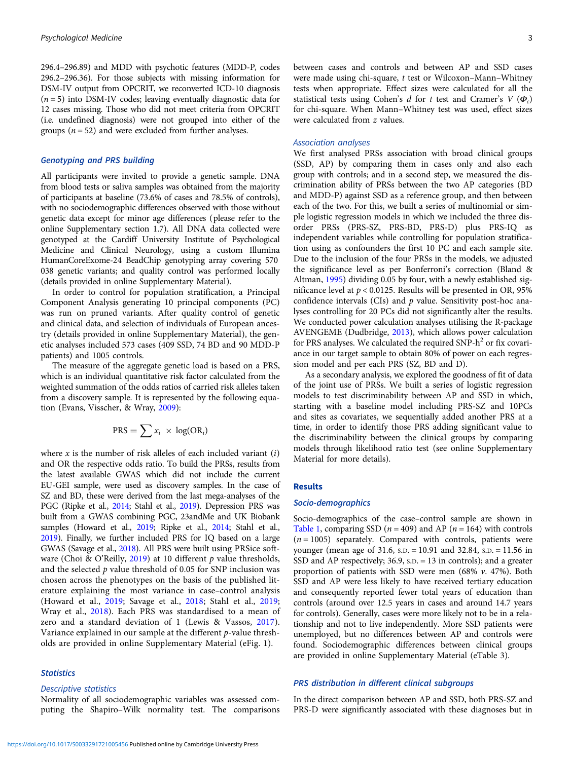296.4–296.89) and MDD with psychotic features (MDD-P, codes 296.2–296.36). For those subjects with missing information for DSM-IV output from OPCRIT, we reconverted ICD-10 diagnosis  $(n = 5)$  into DSM-IV codes; leaving eventually diagnostic data for 12 cases missing. Those who did not meet criteria from OPCRIT (i.e. undefined diagnosis) were not grouped into either of the groups  $(n = 52)$  and were excluded from further analyses.

## Genotyping and PRS building

All participants were invited to provide a genetic sample. DNA from blood tests or saliva samples was obtained from the majority of participants at baseline (73.6% of cases and 78.5% of controls), with no sociodemographic differences observed with those without genetic data except for minor age differences (please refer to the online Supplementary section 1.7). All DNA data collected were genotyped at the Cardiff University Institute of Psychological Medicine and Clinical Neurology, using a custom Illumina HumanCoreExome-24 BeadChip genotyping array covering 570 038 genetic variants; and quality control was performed locally (details provided in online Supplementary Material).

In order to control for population stratification, a Principal Component Analysis generating 10 principal components (PC) was run on pruned variants. After quality control of genetic and clinical data, and selection of individuals of European ancestry (details provided in online Supplementary Material), the genetic analyses included 573 cases (409 SSD, 74 BD and 90 MDD-P patients) and 1005 controls.

The measure of the aggregate genetic load is based on a PRS, which is an individual quantitative risk factor calculated from the weighted summation of the odds ratios of carried risk alleles taken from a discovery sample. It is represented by the following equation (Evans, Visscher, & Wray, [2009\)](#page-8-0):

$$
PRS = \sum x_i \times \log(\text{OR}_i)
$$

where  $x$  is the number of risk alleles of each included variant  $(i)$ and OR the respective odds ratio. To build the PRSs, results from the latest available GWAS which did not include the current EU-GEI sample, were used as discovery samples. In the case of SZ and BD, these were derived from the last mega-analyses of the PGC (Ripke et al., [2014;](#page-8-0) Stahl et al., [2019](#page-8-0)). Depression PRS was built from a GWAS combining PGC, 23andMe and UK Biobank samples (Howard et al., [2019](#page-8-0); Ripke et al., [2014;](#page-8-0) Stahl et al., [2019](#page-8-0)). Finally, we further included PRS for IQ based on a large GWAS (Savage et al., [2018\)](#page-8-0). All PRS were built using PRSice soft-ware (Choi & O'Reilly, [2019\)](#page-8-0) at 10 different  $p$  value thresholds, and the selected  $p$  value threshold of 0.05 for SNP inclusion was chosen across the phenotypes on the basis of the published literature explaining the most variance in case–control analysis (Howard et al., [2019](#page-8-0); Savage et al., [2018](#page-8-0); Stahl et al., [2019;](#page-8-0) Wray et al., [2018\)](#page-9-0). Each PRS was standardised to a mean of zero and a standard deviation of 1 (Lewis & Vassos, [2017\)](#page-8-0). Variance explained in our sample at the different p-value thresholds are provided in online Supplementary Material (eFig. 1).

### **Statistics**

## Descriptive statistics

Normality of all sociodemographic variables was assessed computing the Shapiro–Wilk normality test. The comparisons between cases and controls and between AP and SSD cases were made using chi-square, t test or Wilcoxon–Mann–Whitney tests when appropriate. Effect sizes were calculated for all the statistical tests using Cohen's d for t test and Cramer's  $V(\Phi_c)$ for chi-square. When Mann–Whitney test was used, effect sizes were calculated from z values.

#### Association analyses

We first analysed PRSs association with broad clinical groups (SSD, AP) by comparing them in cases only and also each group with controls; and in a second step, we measured the discrimination ability of PRSs between the two AP categories (BD and MDD-P) against SSD as a reference group, and then between each of the two. For this, we built a series of multinomial or simple logistic regression models in which we included the three disorder PRSs (PRS-SZ, PRS-BD, PRS-D) plus PRS-IQ as independent variables while controlling for population stratification using as confounders the first 10 PC and each sample site. Due to the inclusion of the four PRSs in the models, we adjusted the significance level as per Bonferroni's correction (Bland & Altman, [1995\)](#page-8-0) dividing 0.05 by four, with a newly established significance level at  $p < 0.0125$ . Results will be presented in OR, 95% confidence intervals (CIs) and  $p$  value. Sensitivity post-hoc analyses controlling for 20 PCs did not significantly alter the results. We conducted power calculation analyses utilising the R-package AVENGEME (Dudbridge, [2013](#page-8-0)), which allows power calculation for PRS analyses. We calculated the required  $SNP-h^2$  or fix covariance in our target sample to obtain 80% of power on each regression model and per each PRS (SZ, BD and D).

As a secondary analysis, we explored the goodness of fit of data of the joint use of PRSs. We built a series of logistic regression models to test discriminability between AP and SSD in which, starting with a baseline model including PRS-SZ and 10PCs and sites as covariates, we sequentially added another PRS at a time, in order to identify those PRS adding significant value to the discriminability between the clinical groups by comparing models through likelihood ratio test (see online Supplementary Material for more details).

### Results

#### Socio-demographics

Socio-demographics of the case–control sample are shown in [Table 1](#page-3-0), comparing SSD ( $n = 409$ ) and AP ( $n = 164$ ) with controls  $(n = 1005)$  separately. Compared with controls, patients were younger (mean age of 31.6, S.D. = 10.91 and 32.84, S.D. = 11.56 in SSD and AP respectively; 36.9, S.D. = 13 in controls); and a greater proportion of patients with SSD were men (68%  $v$ . 47%). Both SSD and AP were less likely to have received tertiary education and consequently reported fewer total years of education than controls (around over 12.5 years in cases and around 14.7 years for controls). Generally, cases were more likely not to be in a relationship and not to live independently. More SSD patients were unemployed, but no differences between AP and controls were found. Sociodemographic differences between clinical groups are provided in online Supplementary Material (eTable 3).

### PRS distribution in different clinical subgroups

In the direct comparison between AP and SSD, both PRS-SZ and PRS-D were significantly associated with these diagnoses but in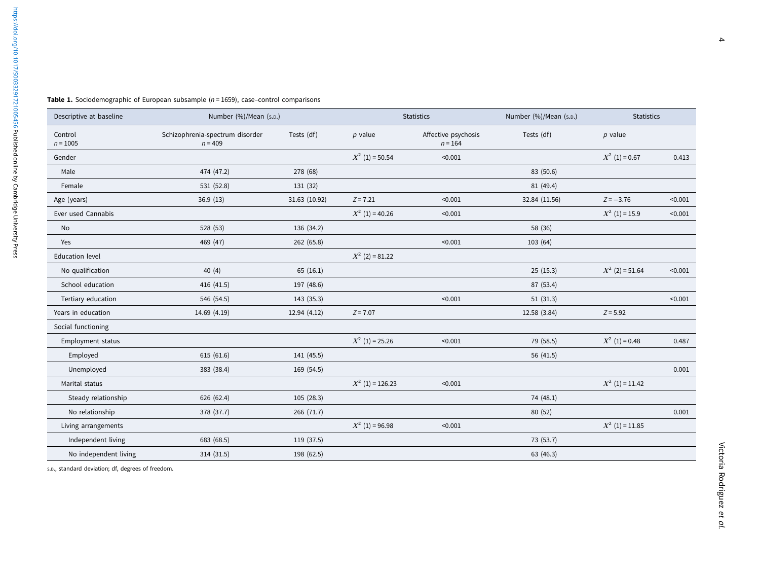<span id="page-3-0"></span>

| <b>Table 1.</b> Sociodemographic of European subsample (n = 1659), case–control comparisons |  |  |  |  |  |  |
|---------------------------------------------------------------------------------------------|--|--|--|--|--|--|
|---------------------------------------------------------------------------------------------|--|--|--|--|--|--|

| Descriptive at baseline | Number (%)/Mean (s.D.)                       |               |                    | <b>Statistics</b>                | Number (%)/Mean (s.p.) | <b>Statistics</b> |         |
|-------------------------|----------------------------------------------|---------------|--------------------|----------------------------------|------------------------|-------------------|---------|
| Control<br>$n = 1005$   | Schizophrenia-spectrum disorder<br>$n = 409$ | Tests (df)    | $p$ value          | Affective psychosis<br>$n = 164$ | Tests (df)             | $p$ value         |         |
| Gender                  |                                              |               | $X^2$ (1) = 50.54  | < 0.001                          |                        | $X^2$ (1) = 0.67  | 0.413   |
| Male                    | 474 (47.2)                                   | 278 (68)      |                    |                                  | 83 (50.6)              |                   |         |
| Female                  | 531 (52.8)                                   | 131 (32)      |                    |                                  | 81 (49.4)              |                   |         |
| Age (years)             | 36.9(13)                                     | 31.63 (10.92) | $Z = 7.21$         | < 0.001                          | 32.84 (11.56)          | $Z = -3.76$       | < 0.001 |
| Ever used Cannabis      |                                              |               | $X^2$ (1) = 40.26  | < 0.001                          |                        | $X^2$ (1) = 15.9  | < 0.001 |
| No                      | 528 (53)                                     | 136 (34.2)    |                    |                                  | 58 (36)                |                   |         |
| Yes                     | 469 (47)                                     | 262 (65.8)    |                    | < 0.001                          | 103 (64)               |                   |         |
| <b>Education level</b>  |                                              |               | $X^2$ (2) = 81.22  |                                  |                        |                   |         |
| No qualification        | 40 (4)                                       | 65(16.1)      |                    |                                  | 25(15.3)               | $X^2$ (2) = 51.64 | < 0.001 |
| School education        | 416 (41.5)                                   | 197 (48.6)    |                    |                                  | 87 (53.4)              |                   |         |
| Tertiary education      | 546 (54.5)                                   | 143 (35.3)    |                    | < 0.001                          | 51(31.3)               |                   | < 0.001 |
| Years in education      | 14.69 (4.19)                                 | 12.94 (4.12)  | $Z = 7.07$         |                                  | 12.58 (3.84)           | $Z = 5.92$        |         |
| Social functioning      |                                              |               |                    |                                  |                        |                   |         |
| Employment status       |                                              |               | $X^2$ (1) = 25.26  | < 0.001                          | 79 (58.5)              | $X^2$ (1) = 0.48  | 0.487   |
| Employed                | 615 (61.6)                                   | 141 (45.5)    |                    |                                  | 56 (41.5)              |                   |         |
| Unemployed              | 383 (38.4)                                   | 169 (54.5)    |                    |                                  |                        |                   | 0.001   |
| Marital status          |                                              |               | $X^2$ (1) = 126.23 | < 0.001                          |                        | $X^2$ (1) = 11.42 |         |
| Steady relationship     | 626 (62.4)                                   | 105 (28.3)    |                    |                                  | 74 (48.1)              |                   |         |
| No relationship         | 378 (37.7)                                   | 266 (71.7)    |                    |                                  | 80 (52)                |                   | 0.001   |
| Living arrangements     |                                              |               | $X^2$ (1) = 96.98  | < 0.001                          |                        | $X^2$ (1) = 11.85 |         |
| Independent living      | 683 (68.5)                                   | 119 (37.5)    |                    |                                  | 73 (53.7)              |                   |         |
| No independent living   | 314 (31.5)                                   | 198 (62.5)    |                    |                                  | 63 (46.3)              |                   |         |

S.D., standard deviation; df, degrees of freedom.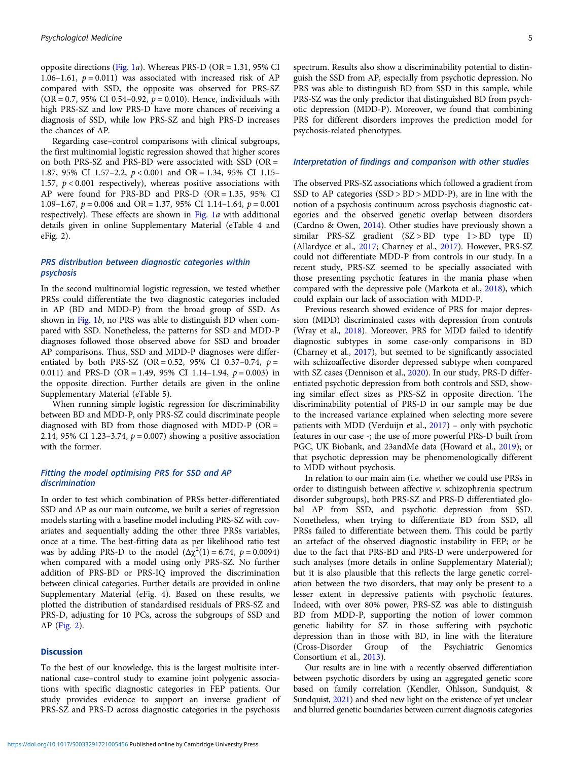opposite directions [\(Fig. 1](#page-5-0)*a*). Whereas PRS-D (OR = 1.31, 95% CI 1.06–1.61,  $p = 0.011$ ) was associated with increased risk of AP compared with SSD, the opposite was observed for PRS-SZ  $(OR = 0.7, 95\% \text{ CI } 0.54 - 0.92, p = 0.010)$ . Hence, individuals with high PRS-SZ and low PRS-D have more chances of receiving a diagnosis of SSD, while low PRS-SZ and high PRS-D increases the chances of AP.

Regarding case–control comparisons with clinical subgroups, the first multinomial logistic regression showed that higher scores on both PRS-SZ and PRS-BD were associated with SSD (OR = 1.87, 95% CI 1.57–2.2, p < 0.001 and OR = 1.34, 95% CI 1.15– 1.57,  $p < 0.001$  respectively), whereas positive associations with AP were found for PRS-BD and PRS-D (OR = 1.35, 95% CI 1.09–1.67,  $p = 0.006$  and OR = 1.37, 95% CI 1.14–1.64,  $p = 0.001$ respectively). These effects are shown in [Fig. 1](#page-5-0)a with additional details given in online Supplementary Material (eTable 4 and eFig. 2).

# PRS distribution between diagnostic categories within psychosis

In the second multinomial logistic regression, we tested whether PRSs could differentiate the two diagnostic categories included in AP (BD and MDD-P) from the broad group of SSD. As shown in [Fig. 1](#page-5-0)b, no PRS was able to distinguish BD when compared with SSD. Nonetheless, the patterns for SSD and MDD-P diagnoses followed those observed above for SSD and broader AP comparisons. Thus, SSD and MDD-P diagnoses were differentiated by both PRS-SZ (OR = 0.52, 95% CI 0.37-0.74,  $p =$ 0.011) and PRS-D (OR = 1.49, 95% CI 1.14–1.94,  $p = 0.003$ ) in the opposite direction. Further details are given in the online Supplementary Material (eTable 5).

When running simple logistic regression for discriminability between BD and MDD-P, only PRS-SZ could discriminate people diagnosed with BD from those diagnosed with MDD-P ( $OR =$ 2.14, 95% CI 1.23-3.74,  $p = 0.007$ ) showing a positive association with the former.

# Fitting the model optimising PRS for SSD and AP discrimination

In order to test which combination of PRSs better-differentiated SSD and AP as our main outcome, we built a series of regression models starting with a baseline model including PRS-SZ with covariates and sequentially adding the other three PRSs variables, once at a time. The best-fitting data as per likelihood ratio test was by adding PRS-D to the model  $(\Delta \chi^2(1) = 6.74, p = 0.0094)$ when compared with a model using only PRS-SZ. No further addition of PRS-BD or PRS-IQ improved the discrimination between clinical categories. Further details are provided in online Supplementary Material (eFig. 4). Based on these results, we plotted the distribution of standardised residuals of PRS-SZ and PRS-D, adjusting for 10 PCs, across the subgroups of SSD and AP ([Fig. 2](#page-6-0)).

## Discussion

To the best of our knowledge, this is the largest multisite international case–control study to examine joint polygenic associations with specific diagnostic categories in FEP patients. Our study provides evidence to support an inverse gradient of PRS-SZ and PRS-D across diagnostic categories in the psychosis

spectrum. Results also show a discriminability potential to distinguish the SSD from AP, especially from psychotic depression. No PRS was able to distinguish BD from SSD in this sample, while PRS-SZ was the only predictor that distinguished BD from psychotic depression (MDD-P). Moreover, we found that combining PRS for different disorders improves the prediction model for psychosis-related phenotypes.

#### Interpretation of findings and comparison with other studies

The observed PRS-SZ associations which followed a gradient from SSD to AP categories (SSD > BD > MDD-P), are in line with the notion of a psychosis continuum across psychosis diagnostic categories and the observed genetic overlap between disorders (Cardno & Owen, [2014](#page-8-0)). Other studies have previously shown a similar PRS-SZ gradient (SZ > BD type I > BD type II) (Allardyce et al., [2017;](#page-7-0) Charney et al., [2017\)](#page-8-0). However, PRS-SZ could not differentiate MDD-P from controls in our study. In a recent study, PRS-SZ seemed to be specially associated with those presenting psychotic features in the mania phase when compared with the depressive pole (Markota et al., [2018](#page-8-0)), which could explain our lack of association with MDD-P.

Previous research showed evidence of PRS for major depression (MDD) discriminated cases with depression from controls (Wray et al., [2018\)](#page-9-0). Moreover, PRS for MDD failed to identify diagnostic subtypes in some case-only comparisons in BD (Charney et al., [2017\)](#page-8-0), but seemed to be significantly associated with schizoaffective disorder depressed subtype when compared with SZ cases (Dennison et al., [2020\)](#page-8-0). In our study, PRS-D differentiated psychotic depression from both controls and SSD, showing similar effect sizes as PRS-SZ in opposite direction. The discriminability potential of PRS-D in our sample may be due to the increased variance explained when selecting more severe patients with MDD (Verduijn et al., [2017](#page-9-0)) – only with psychotic features in our case -; the use of more powerful PRS-D built from PGC, UK Biobank, and 23andMe data (Howard et al., [2019\)](#page-8-0); or that psychotic depression may be phenomenologically different to MDD without psychosis.

In relation to our main aim (i.e. whether we could use PRSs in order to distinguish between affective v. schizophrenia spectrum disorder subgroups), both PRS-SZ and PRS-D differentiated global AP from SSD, and psychotic depression from SSD. Nonetheless, when trying to differentiate BD from SSD, all PRSs failed to differentiate between them. This could be partly an artefact of the observed diagnostic instability in FEP; or be due to the fact that PRS-BD and PRS-D were underpowered for such analyses (more details in online Supplementary Material); but it is also plausible that this reflects the large genetic correlation between the two disorders, that may only be present to a lesser extent in depressive patients with psychotic features. Indeed, with over 80% power, PRS-SZ was able to distinguish BD from MDD-P, supporting the notion of lower common genetic liability for SZ in those suffering with psychotic depression than in those with BD, in line with the literature (Cross-Disorder Group of the Psychiatric Genomics of the Psychiatric Genomics Consortium et al., [2013](#page-8-0)).

Our results are in line with a recently observed differentiation between psychotic disorders by using an aggregated genetic score based on family correlation (Kendler, Ohlsson, Sundquist, & Sundquist, [2021](#page-8-0)) and shed new light on the existence of yet unclear and blurred genetic boundaries between current diagnosis categories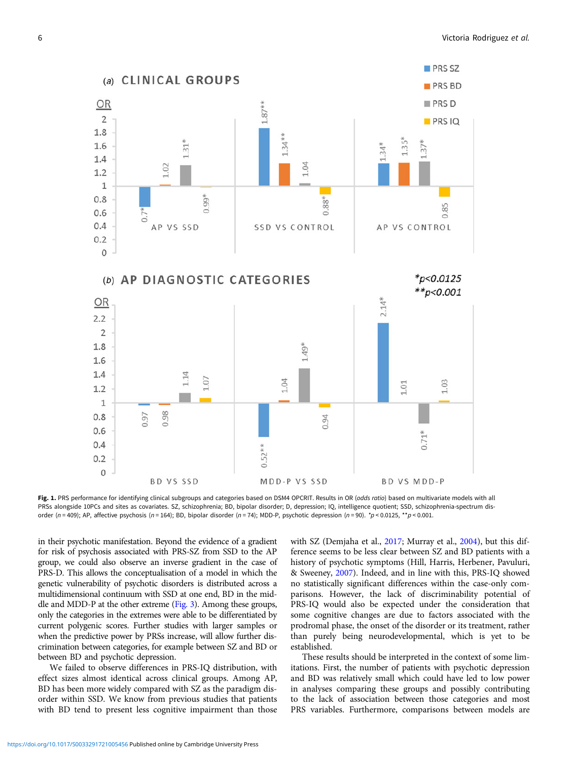<span id="page-5-0"></span>

Fig. 1. PRS performance for identifying clinical subgroups and categories based on DSM4 OPCRIT. Results in OR (odds ratio) based on multivariate models with all PRSs alongside 10PCs and sites as covariates. SZ, schizophrenia; BD, bipolar disorder; D, depression; IQ, intelligence quotient; SSD, schizophrenia-spectrum disorder (n = 409); AP, affective psychosis (n = 164); BD, bipolar disorder (n = 74); MDD-P, psychotic depression (n = 90). \*p < 0.0125, \*\*p < 0.001.

in their psychotic manifestation. Beyond the evidence of a gradient for risk of psychosis associated with PRS-SZ from SSD to the AP group, we could also observe an inverse gradient in the case of PRS-D. This allows the conceptualisation of a model in which the genetic vulnerability of psychotic disorders is distributed across a multidimensional continuum with SSD at one end, BD in the middle and MDD-P at the other extreme [\(Fig. 3\)](#page-7-0). Among these groups, only the categories in the extremes were able to be differentiated by current polygenic scores. Further studies with larger samples or when the predictive power by PRSs increase, will allow further discrimination between categories, for example between SZ and BD or between BD and psychotic depression.

We failed to observe differences in PRS-IQ distribution, with effect sizes almost identical across clinical groups. Among AP, BD has been more widely compared with SZ as the paradigm disorder within SSD. We know from previous studies that patients with BD tend to present less cognitive impairment than those with SZ (Demjaha et al., [2017](#page-8-0); Murray et al., [2004\)](#page-8-0), but this difference seems to be less clear between SZ and BD patients with a history of psychotic symptoms (Hill, Harris, Herbener, Pavuluri, & Sweeney, [2007](#page-8-0)). Indeed, and in line with this, PRS-IQ showed no statistically significant differences within the case-only comparisons. However, the lack of discriminability potential of PRS-IQ would also be expected under the consideration that some cognitive changes are due to factors associated with the prodromal phase, the onset of the disorder or its treatment, rather than purely being neurodevelopmental, which is yet to be established.

These results should be interpreted in the context of some limitations. First, the number of patients with psychotic depression and BD was relatively small which could have led to low power in analyses comparing these groups and possibly contributing to the lack of association between those categories and most PRS variables. Furthermore, comparisons between models are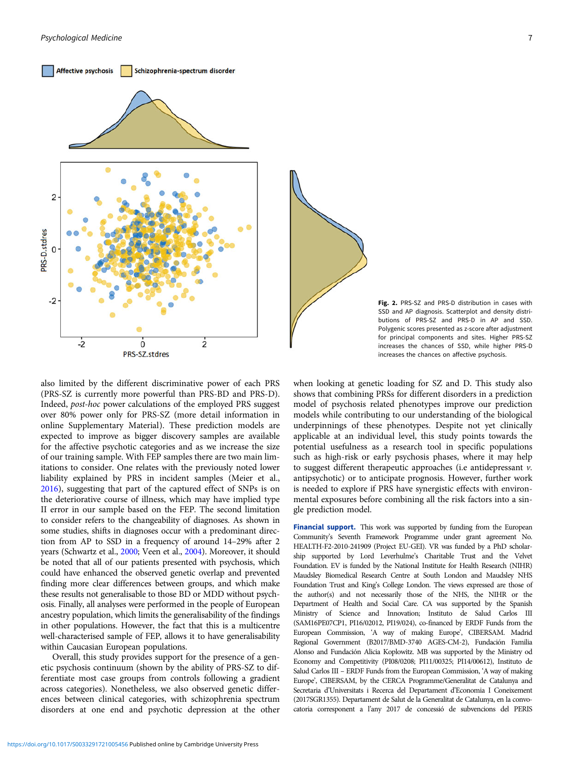<span id="page-6-0"></span>



Fig. 2. PRS-SZ and PRS-D distribution in cases with SSD and AP diagnosis. Scatterplot and density distributions of PRS-SZ and PRS-D in AP and SSD. Polygenic scores presented as z-score after adjustment for principal components and sites. Higher PRS-SZ increases the chances of SSD, while higher PRS-D increases the chances on affective psychosis.

also limited by the different discriminative power of each PRS (PRS-SZ is currently more powerful than PRS-BD and PRS-D). Indeed, post-hoc power calculations of the employed PRS suggest over 80% power only for PRS-SZ (more detail information in online Supplementary Material). These prediction models are expected to improve as bigger discovery samples are available for the affective psychotic categories and as we increase the size of our training sample. With FEP samples there are two main limitations to consider. One relates with the previously noted lower liability explained by PRS in incident samples (Meier et al., [2016\)](#page-8-0), suggesting that part of the captured effect of SNPs is on the deteriorative course of illness, which may have implied type II error in our sample based on the FEP. The second limitation to consider refers to the changeability of diagnoses. As shown in some studies, shifts in diagnoses occur with a predominant direction from AP to SSD in a frequency of around 14–29% after 2 years (Schwartz et al., [2000;](#page-8-0) Veen et al., [2004\)](#page-9-0). Moreover, it should be noted that all of our patients presented with psychosis, which could have enhanced the observed genetic overlap and prevented finding more clear differences between groups, and which make these results not generalisable to those BD or MDD without psychosis. Finally, all analyses were performed in the people of European ancestry population, which limits the generalisability of the findings in other populations. However, the fact that this is a multicentre well-characterised sample of FEP, allows it to have generalisability within Caucasian European populations.

Overall, this study provides support for the presence of a genetic psychosis continuum (shown by the ability of PRS-SZ to differentiate most case groups from controls following a gradient across categories). Nonetheless, we also observed genetic differences between clinical categories, with schizophrenia spectrum disorders at one end and psychotic depression at the other

when looking at genetic loading for SZ and D. This study also shows that combining PRSs for different disorders in a prediction model of psychosis related phenotypes improve our prediction models while contributing to our understanding of the biological underpinnings of these phenotypes. Despite not yet clinically applicable at an individual level, this study points towards the potential usefulness as a research tool in specific populations such as high-risk or early psychosis phases, where it may help to suggest different therapeutic approaches (i.e antidepressant v. antipsychotic) or to anticipate prognosis. However, further work is needed to explore if PRS have synergistic effects with environmental exposures before combining all the risk factors into a single prediction model.

Financial support. This work was supported by funding from the European Community's Seventh Framework Programme under grant agreement No. HEALTH-F2-2010-241909 (Project EU-GEI). VR was funded by a PhD scholarship supported by Lord Leverhulme's Charitable Trust and the Velvet Foundation. EV is funded by the National Institute for Health Research (NIHR) Maudsley Biomedical Research Centre at South London and Maudsley NHS Foundation Trust and King's College London. The views expressed are those of the author(s) and not necessarily those of the NHS, the NIHR or the Department of Health and Social Care. CA was supported by the Spanish Ministry of Science and Innovation; Instituto de Salud Carlos III (SAM16PE07CP1, PI16/02012, PI19/024), co-financed by ERDF Funds from the European Commission, 'A way of making Europe', CIBERSAM. Madrid Regional Government (B2017/BMD-3740 AGES-CM-2), Fundación Familia Alonso and Fundación Alicia Koplowitz. MB was supported by the Ministry od Economy and Competitivity (PI08/0208; PI11/00325; PI14/00612), Instituto de Salud Carlos III – ERDF Funds from the European Commission, 'A way of making Europe', CIBERSAM, by the CERCA Programme/Generalitat de Catalunya and Secretaria d'Universitats i Recerca del Departament d'Economia I Coneixement (2017SGR1355). Departament de Salut de la Generalitat de Catalunya, en la convocatoria corresponent a l'any 2017 de concessió de subvencions del PERIS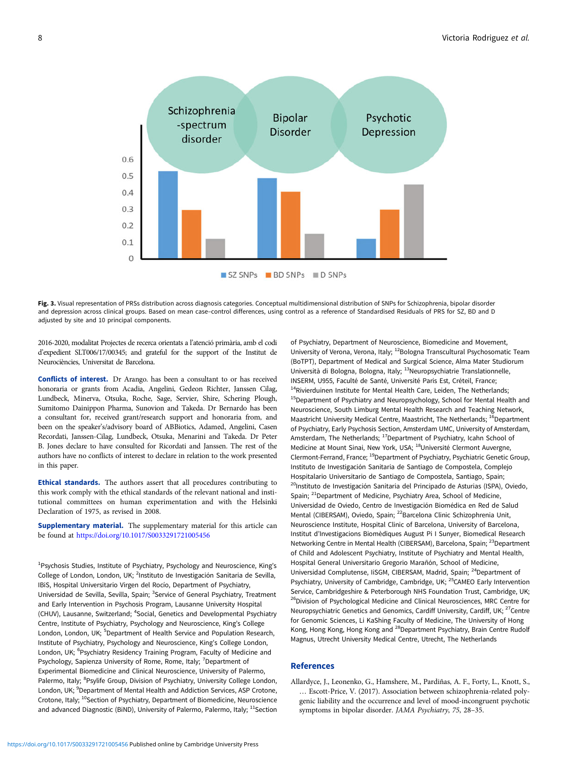<span id="page-7-0"></span>

Fig. 3. Visual representation of PRSs distribution across diagnosis categories. Conceptual multidimensional distribution of SNPs for Schizophrenia, bipolar disorder and depression across clinical groups. Based on mean case–control differences, using control as a reference of Standardised Residuals of PRS for SZ, BD and D adjusted by site and 10 principal components.

2016-2020, modalitat Projectes de recerca orientats a l'atenció primària, amb el codi d'expedient SLT006/17/00345; and grateful for the support of the Institut de Neurociències, Universitat de Barcelona.

Conflicts of interest. Dr Arango. has been a consultant to or has received honoraria or grants from Acadia, Angelini, Gedeon Richter, Janssen Cilag, Lundbeck, Minerva, Otsuka, Roche, Sage, Servier, Shire, Schering Plough, Sumitomo Dainippon Pharma, Sunovion and Takeda. Dr Bernardo has been a consultant for, received grant/research support and honoraria from, and been on the speaker's/advisory board of ABBiotics, Adamed, Angelini, Casen Recordati, Janssen-Cilag, Lundbeck, Otsuka, Menarini and Takeda. Dr Peter B. Jones declare to have consulted for Ricordati and Janssen. The rest of the authors have no conflicts of interest to declare in relation to the work presented in this paper.

Ethical standards. The authors assert that all procedures contributing to this work comply with the ethical standards of the relevant national and institutional committees on human experimentation and with the Helsinki Declaration of 1975, as revised in 2008.

Supplementary material. The supplementary material for this article can be found at <https://doi.org/10.1017/S0033291721005456>

<sup>1</sup>Psychosis Studies, Institute of Psychiatry, Psychology and Neuroscience, King's College of London, London, UK; <sup>2</sup>Instituto de Investigación Sanitaria de Sevilla, IBiS, Hospital Universitario Virgen del Rocío, Department of Psychiatry, Universidad de Sevilla, Sevilla, Spain; <sup>3</sup>Service of General Psychiatry, Treatment and Early Intervention in Psychosis Program, Lausanne University Hospital (CHUV), Lausanne, Switzerland; <sup>4</sup>Social, Genetics and Developmental Psychiatry Centre, Institute of Psychiatry, Psychology and Neuroscience, King's College London, London, UK; <sup>5</sup>Department of Health Service and Population Research, Institute of Psychiatry, Psychology and Neuroscience, King's College London, London, UK; <sup>6</sup>Psychiatry Residency Training Program, Faculty of Medicine and Psychology, Sapienza University of Rome, Rome, Italy; <sup>7</sup>Department of Experimental Biomedicine and Clinical Neuroscience, University of Palermo, Palermo, Italy; <sup>8</sup>Psylife Group, Division of Psychiatry, University College London, London, UK; <sup>9</sup>Department of Mental Health and Addiction Services, ASP Crotone, Crotone, Italy; <sup>10</sup>Section of Psychiatry, Department of Biomedicine, Neuroscience and advanced Diagnostic (BiND), University of Palermo, Palermo, Italy;  $11$ Section of Psychiatry, Department of Neuroscience, Biomedicine and Movement, University of Verona, Verona, Italy; <sup>12</sup>Bologna Transcultural Psychosomatic Team (BoTPT), Department of Medical and Surgical Science, Alma Mater Studiorum Università di Bologna, Bologna, Italy; 13Neuropsychiatrie Translationnelle, INSERM, U955, Faculté de Santé, Université Paris Est, Créteil, France; <sup>14</sup>Rivierduinen Institute for Mental Health Care, Leiden, The Netherlands; <sup>15</sup>Department of Psychiatry and Neuropsychology, School for Mental Health and Neuroscience, South Limburg Mental Health Research and Teaching Network, Maastricht University Medical Centre, Maastricht, The Netherlands; <sup>16</sup>Department of Psychiatry, Early Psychosis Section, Amsterdam UMC, University of Amsterdam, Amsterdam, The Netherlands; <sup>17</sup>Department of Psychiatry, Icahn School of Medicine at Mount Sinai, New York, USA; 18Université Clermont Auvergne, Clermont-Ferrand, France; <sup>19</sup>Department of Psychiatry, Psychiatric Genetic Group, Instituto de Investigación Sanitaria de Santiago de Compostela, Complejo Hospitalario Universitario de Santiago de Compostela, Santiago, Spain; <sup>20</sup>Instituto de Investigación Sanitaria del Principado de Asturias (ISPA), Oviedo, Spain; <sup>21</sup>Department of Medicine, Psychiatry Area, School of Medicine, Universidad de Oviedo, Centro de Investigación Biomédica en Red de Salud Mental (CIBERSAM), Oviedo, Spain; <sup>22</sup>Barcelona Clinic Schizophrenia Unit, Neuroscience Institute, Hospital Clinic of Barcelona, University of Barcelona, Institut d'Investigacions Biomèdiques August Pi I Sunyer, Biomedical Research Networking Centre in Mental Health (CIBERSAM), Barcelona, Spain; <sup>23</sup>Department of Child and Adolescent Psychiatry, Institute of Psychiatry and Mental Health, Hospital General Universitario Gregorio Marañón, School of Medicine, Universidad Complutense, IISGM, CIBERSAM, Madrid, Spain; <sup>24</sup>Department of Psychiatry, University of Cambridge, Cambridge, UK; <sup>25</sup>CAMEO Early Intervention Service, Cambridgeshire & Peterborough NHS Foundation Trust, Cambridge, UK; <sup>26</sup>Division of Psychological Medicine and Clinical Neurosciences, MRC Centre for Neuropsychiatric Genetics and Genomics, Cardiff University, Cardiff, UK; <sup>27</sup>Centre for Genomic Sciences, Li KaShing Faculty of Medicine, The University of Hong Kong, Hong Kong, Hong Kong and <sup>28</sup>Department Psychiatry, Brain Centre Rudolf Magnus, Utrecht University Medical Centre, Utrecht, The Netherlands

## References

Allardyce, J., Leonenko, G., Hamshere, M., Pardiñas, A. F., Forty, L., Knott, S., … Escott-Price, V. (2017). Association between schizophrenia-related polygenic liability and the occurrence and level of mood-incongruent psychotic symptoms in bipolar disorder. JAMA Psychiatry, 75, 28–35.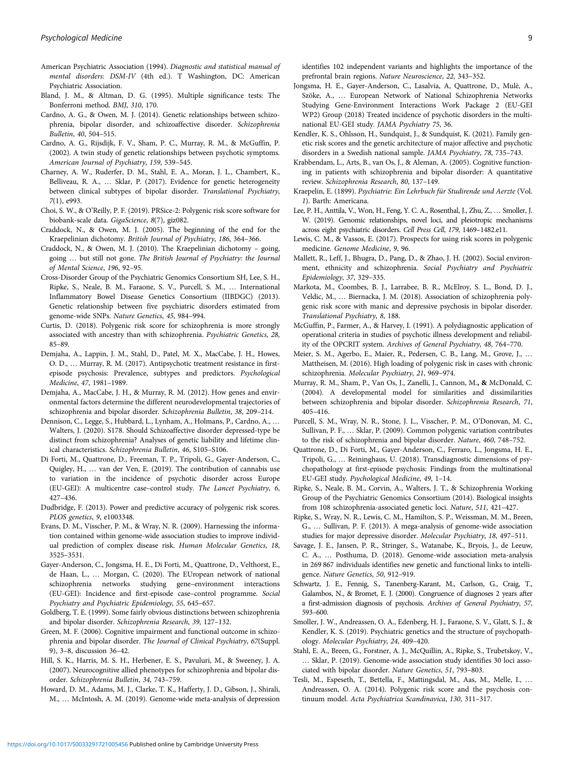- <span id="page-8-0"></span>American Psychiatric Association (1994). Diagnostic and statistical manual of mental disorders: DSM-IV (4th ed.). T Washington, DC: American Psychiatric Association.
- Bland, J. M., & Altman, D. G. (1995). Multiple significance tests: The Bonferroni method. BMJ, 310, 170.
- Cardno, A. G., & Owen, M. J. (2014). Genetic relationships between schizophrenia, bipolar disorder, and schizoaffective disorder. Schizophrenia Bulletin, 40, 504–515.
- Cardno, A. G., Rijsdijk, F. V., Sham, P. C., Murray, R. M., & McGuffin, P. (2002). A twin study of genetic relationships between psychotic symptoms. American Journal of Psychiatry, 159, 539–545.
- Charney, A. W., Ruderfer, D. M., Stahl, E. A., Moran, J. L., Chambert, K., Belliveau, R. A., … Sklar, P. (2017). Evidence for genetic heterogeneity between clinical subtypes of bipolar disorder. Translational Psychiatry, 7(1), e993.
- Choi, S. W., & O'Reilly, P. F. (2019). PRSice-2: Polygenic risk score software for biobank-scale data. GigaScience, 8(7), giz082.
- Craddock, N., & Owen, M. J. (2005). The beginning of the end for the Kraepelinian dichotomy. British Journal of Psychiatry, 186, 364–366.
- Craddock, N., & Owen, M. J. (2010). The Kraepelinian dichotomy going, going … but still not gone. The British Journal of Psychiatry: the Journal of Mental Science, 196, 92–95.
- Cross-Disorder Group of the Psychiatric Genomics Consortium SH, Lee, S. H., Ripke, S., Neale, B. M., Faraone, S. V., Purcell, S. M., … International Inflammatory Bowel Disease Genetics Consortium (IIBDGC) (2013). Genetic relationship between five psychiatric disorders estimated from genome-wide SNPs. Nature Genetics, 45, 984–994.
- Curtis, D. (2018). Polygenic risk score for schizophrenia is more strongly associated with ancestry than with schizophrenia. Psychiatric Genetics, 28, 85–89.
- Demjaha, A., Lappin, J. M., Stahl, D., Patel, M. X., MacCabe, J. H., Howes, O. D., … Murray, R. M. (2017). Antipsychotic treatment resistance in firstepisode psychosis: Prevalence, subtypes and predictors. Psychological Medicine, 47, 1981–1989.
- Demjaha, A., MacCabe, J. H., & Murray, R. M. (2012). How genes and environmental factors determine the different neurodevelopmental trajectories of schizophrenia and bipolar disorder. Schizophrenia Bulletin, 38, 209–214.
- Dennison, C., Legge, S., Hubbard, L., Lynham, A., Holmans, P., Cardno, A., … Walters, J. (2020). S178. Should Schizoaffective disorder depressed-type be distinct from schizophrenia? Analyses of genetic liability and lifetime clinical characteristics. Schizophrenia Bulletin, 46, S105–S106.
- Di Forti, M., Quattrone, D., Freeman, T. P., Tripoli, G., Gayer-Anderson, C., Quigley, H., … van der Ven, E. (2019). The contribution of cannabis use to variation in the incidence of psychotic disorder across Europe (EU-GEI): A multicentre case–control study. The Lancet Psychiatry, 6, 427–436.
- Dudbridge, F. (2013). Power and predictive accuracy of polygenic risk scores. PLOS genetics, 9, e1003348.
- Evans, D. M., Visscher, P. M., & Wray, N. R. (2009). Harnessing the information contained within genome-wide association studies to improve individual prediction of complex disease risk. Human Molecular Genetics, 18, 3525–3531.
- Gayer-Anderson, C., Jongsma, H. E., Di Forti, M., Quattrone, D., Velthorst, E., de Haan, L., … Morgan, C. (2020). The EUropean network of national schizophrenia networks studying gene–environment interactions (EU-GEI): Incidence and first-episode case–control programme. Social Psychiatry and Psychiatric Epidemiology, 55, 645–657.
- Goldberg, T. E. (1999). Some fairly obvious distinctions between schizophrenia and bipolar disorder. Schizophrenia Research, 39, 127–132.
- Green, M. F. (2006). Cognitive impairment and functional outcome in schizophrenia and bipolar disorder. The Journal of Clinical Psychiatry, 67(Suppl. 9), 3–8, discussion 36–42.
- Hill, S. K., Harris, M. S. H., Herbener, E. S., Pavuluri, M., & Sweeney, J. A. (2007). Neurocognitive allied phenotypes for schizophrenia and bipolar disorder. Schizophrenia Bulletin, 34, 743–759.
- Howard, D. M., Adams, M. J., Clarke, T. K., Hafferty, J. D., Gibson, J., Shirali, M., … McIntosh, A. M. (2019). Genome-wide meta-analysis of depression

identifies 102 independent variants and highlights the importance of the prefrontal brain regions. Nature Neuroscience, 22, 343–352.

- Jongsma, H. E., Gayer-Anderson, C., Lasalvia, A, Quattrone, D., Mulè, A., Szöke, A., … European Network of National Schizophrenia Networks Studying Gene-Environment Interactions Work Package 2 (EU-GEI WP2) Group (2018) Treated incidence of psychotic disorders in the multinational EU-GEI study. JAMA Psychiatry 75, 36.
- Kendler, K. S., Ohlsson, H., Sundquist, J., & Sundquist, K. (2021). Family genetic risk scores and the genetic architecture of major affective and psychotic disorders in a Swedish national sample. JAMA Psychiatry, 78, 735–743.
- Krabbendam, L., Arts, B., van Os, J., & Aleman, A. (2005). Cognitive functioning in patients with schizophrenia and bipolar disorder: A quantitative review. Schizophrenia Research, 80, 137–149.
- Kraepelin, E. (1899). Psychiatrie: Ein Lehrbuch für Studirende und Aerzte (Vol. 1). Barth: Americana.
- Lee, P. H., Anttila, V., Won, H., Feng, Y. C. A., Rosenthal, J., Zhu, Z., … Smoller, J. W. (2019). Genomic relationships, novel loci, and pleiotropic mechanisms across eight psychiatric disorders. Cell Press Cell, 179, 1469–1482.e11.
- Lewis, C. M., & Vassos, E. (2017). Prospects for using risk scores in polygenic medicine. Genome Medicine, 9, 96.
- Mallett, R., Leff, J., Bhugra, D., Pang, D., & Zhao, J. H. (2002). Social environment, ethnicity and schizophrenia. Social Psychiatry and Psychiatric Epidemiology, 37, 329–335.
- Markota, M., Coombes, B. J., Larrabee, B. R., McElroy, S. L., Bond, D. J., Veldic, M., … Biernacka, J. M. (2018). Association of schizophrenia polygenic risk score with manic and depressive psychosis in bipolar disorder. Translational Psychiatry, 8, 188.
- McGuffin, P., Farmer, A., & Harvey, I. (1991). A polydiagnostic application of operational criteria in studies of psychotic illness development and reliability of the OPCRIT system. Archives of General Psychiatry, 48, 764–770.
- Meier, S. M., Agerbo, E., Maier, R., Pedersen, C. B., Lang, M., Grove, J., … Mattheisen, M. (2016). High loading of polygenic risk in cases with chronic schizophrenia. Molecular Psychiatry, 21, 969–974.
- Murray, R. M., Sham, P., Van Os, J., Zanelli, J., Cannon, M., & McDonald, C. (2004). A developmental model for similarities and dissimilarities between schizophrenia and bipolar disorder. Schizophrenia Research, 71, 405–416.
- Purcell, S. M., Wray, N. R., Stone, J. L., Visscher, P. M., O'Donovan, M. C., Sullivan, P. F., … Sklar, P. (2009). Common polygenic variation contributes to the risk of schizophrenia and bipolar disorder. Nature, 460, 748–752.
- Quattrone, D., Di Forti, M., Gayer-Anderson, C., Ferraro, L., Jongsma, H. E., Tripoli, G., … Reininghaus, U. (2018). Transdiagnostic dimensions of psychopathology at first-episode psychosis: Findings from the multinational EU-GEI study. Psychological Medicine, 49, 1–14.
- Ripke, S., Neale, B. M., Corvin, A., Walters, J. T., & Schizophrenia Working Group of the Psychiatric Genomics Consortium (2014). Biological insights from 108 schizophrenia-associated genetic loci. Nature, 511, 421–427.
- Ripke, S., Wray, N. R., Lewis, C. M., Hamilton, S. P., Weissman, M. M., Breen, G., … Sullivan, P. F. (2013). A mega-analysis of genome-wide association studies for major depressive disorder. Molecular Psychiatry, 18, 497–511.
- Savage, J. E., Jansen, P. R., Stringer, S., Watanabe, K., Bryois, J., de Leeuw, C. A., … Posthuma, D. (2018). Genome-wide association meta-analysis in 269 867 individuals identifies new genetic and functional links to intelligence. Nature Genetics, 50, 912–919.
- Schwartz, J. E., Fennig, S., Tanenberg-Karant, M., Carlson, G., Craig, T., Galambos, N., & Bromet, E. J. (2000). Congruence of diagnoses 2 years after a first-admission diagnosis of psychosis. Archives of General Psychiatry, 57, 593–600.
- Smoller, J. W., Andreassen, O. A., Edenberg, H. J., Faraone, S. V., Glatt, S. J., & Kendler, K. S. (2019). Psychiatric genetics and the structure of psychopathology. Molecular Psychiatry, 24, 409–420.
- Stahl, E. A., Breen, G., Forstner, A. J., McQuillin, A., Ripke, S., Trubetskoy, V., … Sklar, P. (2019). Genome-wide association study identifies 30 loci associated with bipolar disorder. Nature Genetics, 51, 793–803.
- Tesli, M., Espeseth, T., Bettella, F., Mattingsdal, M., Aas, M., Melle, I., … Andreassen, O. A. (2014). Polygenic risk score and the psychosis continuum model. Acta Psychiatrica Scandinavica, 130, 311–317.